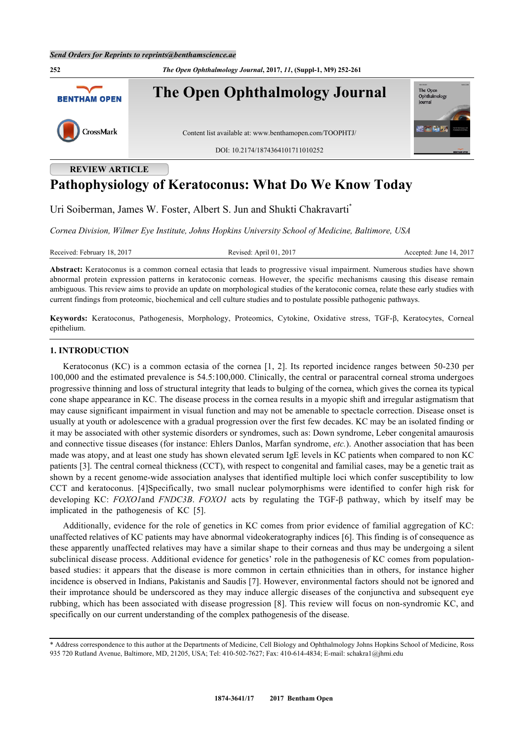**252** *The Open Ophthalmology Journal***, 2017,** *11***, (Suppl-1, M9) 252-261 The Open Ophthalmology Journal** The Open<br>Ophthalm **BENTHAM OPEN** lournal CrossMark Content list available at: [www.benthamopen.com/TOOPHTJ/](http://www.benthamopen.com/TOOPHTJ/) DOI: [10.2174/1874364101711010252](http://dx.doi.org/10.2174/1874364101711010252)

# **REVIEW ARTICLE**

# **Pathophysiology of Keratoconus: What Do We Know Today**

Uri Soiberman, James W. Foster, Albert S. Jun and Shukti Chakravarti[\\*](#page-0-0)

*Cornea Division, Wilmer Eye Institute, Johns Hopkins University School of Medicine, Baltimore, USA*

Received: February 18, 2017 Revised: April 01, 2017 Accepted: June 14, 2017

**Abstract:** Keratoconus is a common corneal ectasia that leads to progressive visual impairment. Numerous studies have shown abnormal protein expression patterns in keratoconic corneas. However, the specific mechanisms causing this disease remain ambiguous. This review aims to provide an update on morphological studies of the keratoconic cornea, relate these early studies with current findings from proteomic, biochemical and cell culture studies and to postulate possible pathogenic pathways.

**Keywords:** Keratoconus, Pathogenesis, Morphology, Proteomics, Cytokine, Oxidative stress, TGF-β, Keratocytes, Corneal epithelium.

# **1. INTRODUCTION**

Keratoconus (KC) is a common ectasia of the cornea [[1](#page-5-0), [2\]](#page-5-1). Its reported incidence ranges between 50-230 per 100,000 and the estimated prevalence is 54.5:100,000. Clinically, the central or paracentral corneal stroma undergoes progressive thinning and loss of structural integrity that leads to bulging of the cornea, which gives the cornea its typical cone shape appearance in KC. The disease process in the cornea results in a myopic shift and irregular astigmatism that may cause significant impairment in visual function and may not be amenable to spectacle correction. Disease onset is usually at youth or adolescence with a gradual progression over the first few decades. KC may be an isolated finding or it may be associated with other systemic disorders or syndromes, such as: Down syndrome, Leber congenital amaurosis and connective tissue diseases (for instance: Ehlers Danlos, Marfan syndrome, *etc.*). Another association that has been made was atopy, and at least one study has shown elevated serum IgE levels in KC patients when compared to non KC patients [[3\]](#page-5-2). The central corneal thickness (CCT), with respect to congenital and familial cases, may be a genetic trait as shown by a recent genome-wide association analyses that identified multiple loci which confer susceptibility to low CCT and keratoconus.[[4](#page-5-3)]Specifically, two small nuclear polymorphisms were identified to confer high risk for developing KC: *FOXO1*and *FNDC3B*. *FOXO1* acts by regulating the TGF-β pathway, which by itself may be implicated in the pathogenesis of KC [\[5](#page-5-4)].

Additionally, evidence for the role of genetics in KC comes from prior evidence of familial aggregation of KC: unaffected relatives of KC patients may have abnormal videokeratography indices [[6\]](#page-5-5). This finding is of consequence as these apparently unaffected relatives may have a similar shape to their corneas and thus may be undergoing a silent subclinical disease process. Additional evidence for genetics' role in the pathogenesis of KC comes from populationbased studies: it appears that the disease is more common in certain ethnicities than in others, for instance higher incidence is observed in Indians, Pakistanis and Saudis [[7](#page-6-0)]. However, environmental factors should not be ignored and their improtance should be underscored as they may induce allergic diseases of the conjunctiva and subsequent eye rubbing, which has been associated with disease progression [[8](#page-6-1)]. This review will focus on non-syndromic KC, and specifically on our current understanding of the complex pathogenesis of the disease.

<span id="page-0-0"></span><sup>\*</sup> Address correspondence to this author at the Departments of Medicine, Cell Biology and Ophthalmology Johns Hopkins School of Medicine, Ross 935 720 Rutland Avenue, Baltimore, MD, 21205, USA; Tel: 410-502-7627; Fax: 410-614-4834; E-mail: [schakra1@jhmi.edu](mailto:schakra1@jhmi.edu)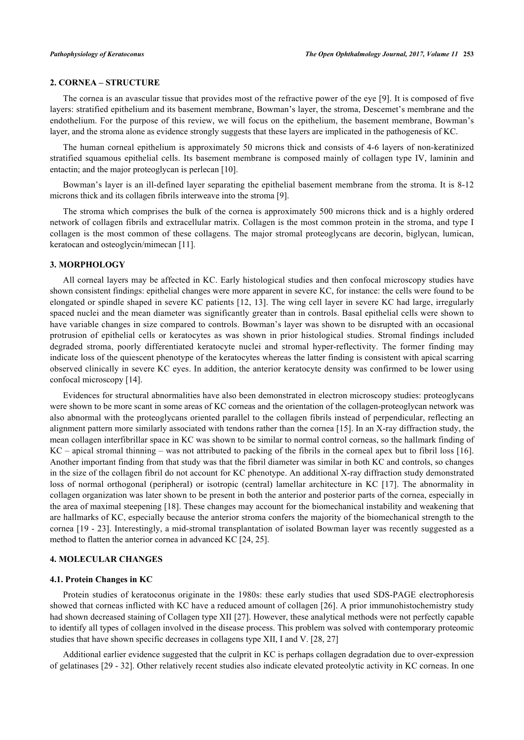# **2. CORNEA – STRUCTURE**

The cornea is an avascular tissue that provides most of the refractive power of the eye [\[9](#page-6-2)]. It is composed of five layers: stratified epithelium and its basement membrane, Bowman's layer, the stroma, Descemet's membrane and the endothelium. For the purpose of this review, we will focus on the epithelium, the basement membrane, Bowman's layer, and the stroma alone as evidence strongly suggests that these layers are implicated in the pathogenesis of KC.

The human corneal epithelium is approximately 50 microns thick and consists of 4-6 layers of non-keratinized stratified squamous epithelial cells. Its basement membrane is composed mainly of collagen type IV, laminin and entactin; and the major proteoglycan is perlecan [[10\]](#page-6-3).

Bowman's layer is an ill-defined layer separating the epithelial basement membrane from the stroma. It is 8-12 microns thick and its collagen fibrils interweave into the stroma [[9\]](#page-6-2).

The stroma which comprises the bulk of the cornea is approximately 500 microns thick and is a highly ordered network of collagen fibrils and extracellular matrix. Collagen is the most common protein in the stroma, and type I collagen is the most common of these collagens. The major stromal proteoglycans are decorin, biglycan, lumican, keratocan and osteoglycin/mimecan [\[11](#page-6-4)].

# **3. MORPHOLOGY**

All corneal layers may be affected in KC. Early histological studies and then confocal microscopy studies have shown consistent findings: epithelial changes were more apparent in severe KC, for instance: the cells were found to be elongated or spindle shaped in severe KC patients [[12,](#page-6-5) [13\]](#page-6-6). The wing cell layer in severe KC had large, irregularly spaced nuclei and the mean diameter was significantly greater than in controls. Basal epithelial cells were shown to have variable changes in size compared to controls. Bowman's layer was shown to be disrupted with an occasional protrusion of epithelial cells or keratocytes as was shown in prior histological studies. Stromal findings included degraded stroma, poorly differentiated keratocyte nuclei and stromal hyper-reflectivity. The former finding may indicate loss of the quiescent phenotype of the keratocytes whereas the latter finding is consistent with apical scarring observed clinically in severe KC eyes. In addition, the anterior keratocyte density was confirmed to be lower using confocal microscopy [\[14](#page-6-7)].

Evidences for structural abnormalities have also been demonstrated in electron microscopy studies: proteoglycans were shown to be more scant in some areas of KC corneas and the orientation of the collagen-proteoglycan network was also abnormal with the proteoglycans oriented parallel to the collagen fibrils instead of perpendicular, reflecting an alignment pattern more similarly associated with tendons rather than the cornea [[15\]](#page-6-8). In an X-ray diffraction study, the mean collagen interfibrillar space in KC was shown to be similar to normal control corneas, so the hallmark finding of KC – apical stromal thinning – was not attributed to packing of the fibrils in the corneal apex but to fibril loss [\[16\]](#page-6-9). Another important finding from that study was that the fibril diameter was similar in both KC and controls, so changes in the size of the collagen fibril do not account for KC phenotype. An additional X-ray diffraction study demonstrated loss of normal orthogonal (peripheral) or isotropic (central) lamellar architecture in KC [\[17](#page-6-10)]. The abnormality in collagen organization was later shown to be present in both the anterior and posterior parts of the cornea, especially in the area of maximal steepening [[18](#page-6-11)]. These changes may account for the biomechanical instability and weakening that are hallmarks of KC, especially because the anterior stroma confers the majority of the biomechanical strength to the cornea [[19](#page-6-12) - [23\]](#page-6-13). Interestingly, a mid-stromal transplantation of isolated Bowman layer was recently suggested as a method to flatten the anterior cornea in advanced KC [\[24](#page-6-14), [25](#page-6-15)].

### **4. MOLECULAR CHANGES**

#### **4.1. Protein Changes in KC**

Protein studies of keratoconus originate in the 1980s: these early studies that used SDS-PAGE electrophoresis showed that corneas inflicted with KC have a reduced amount of collagen [[26\]](#page-6-16). A prior immunohistochemistry study had shown decreased staining of Collagen type XII [\[27](#page-6-17)]. However, these analytical methods were not perfectly capable to identify all types of collagen involved in the disease process. This problem was solved with contemporary proteomic studies that have shown specific decreases in collagens type XII, I and V. [\[28](#page-7-0), [27](#page-6-17)]

Additional earlier evidence suggested that the culprit in KC is perhaps collagen degradation due to over-expression of gelatinases [\[29](#page-7-1) - [32](#page-7-2)]. Other relatively recent studies also indicate elevated proteolytic activity in KC corneas. In one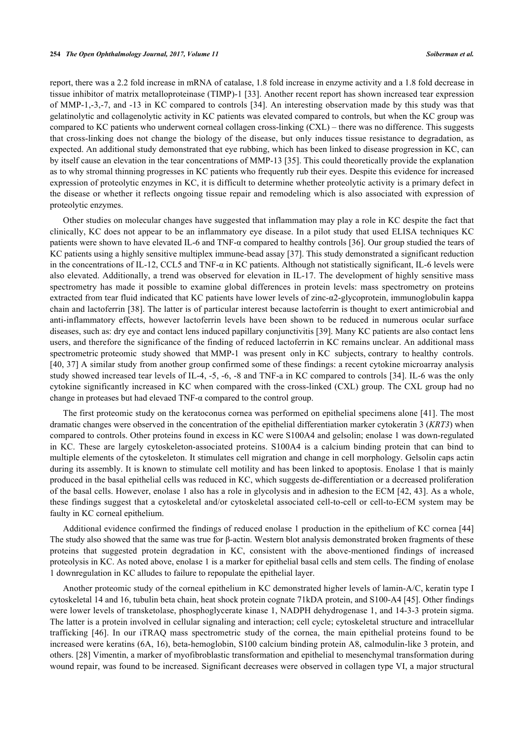report, there was a 2.2 fold increase in mRNA of catalase, 1.8 fold increase in enzyme activity and a 1.8 fold decrease in tissue inhibitor of matrix metalloproteinase (TIMP)-1 [\[33](#page-7-3)]. Another recent report has shown increased tear expression of MMP-1,-3,-7, and -13 in KC compared to controls [[34](#page-7-4)]. An interesting observation made by this study was that gelatinolytic and collagenolytic activity in KC patients was elevated compared to controls, but when the KC group was compared to KC patients who underwent corneal collagen cross-linking (CXL) – there was no difference. This suggests that cross-linking does not change the biology of the disease, but only induces tissue resistance to degradation, as expected. An additional study demonstrated that eye rubbing, which has been linked to disease progression in KC, can by itself cause an elevation in the tear concentrations of MMP-13 [[35\]](#page-7-5). This could theoretically provide the explanation as to why stromal thinning progresses in KC patients who frequently rub their eyes. Despite this evidence for increased expression of proteolytic enzymes in KC, it is difficult to determine whether proteolytic activity is a primary defect in the disease or whether it reflects ongoing tissue repair and remodeling which is also associated with expression of proteolytic enzymes.

Other studies on molecular changes have suggested that inflammation may play a role in KC despite the fact that clinically, KC does not appear to be an inflammatory eye disease. In a pilot study that used ELISA techniques KC patients were shown to have elevated IL-6 and TNF-α compared to healthy controls [[36\]](#page-7-6). Our group studied the tears of KC patients using a highly sensitive multiplex immune-bead assay [[37\]](#page-7-7). This study demonstrated a significant reduction in the concentrations of IL-12, CCL5 and TNF- $\alpha$  in KC patients. Although not statistically significant, IL-6 levels were also elevated. Additionally, a trend was observed for elevation in IL-17. The development of highly sensitive mass spectrometry has made it possible to examine global differences in protein levels: mass spectrometry on proteins extracted from tear fluid indicated that KC patients have lower levels of zinc-α2-glycoprotein, immunoglobulin kappa chain and lactoferrin [[38\]](#page-7-8). The latter is of particular interest because lactoferrin is thought to exert antimicrobial and anti-inflammatory effects, however lactoferrin levels have been shown to be reduced in numerous ocular surface diseases, such as: dry eye and contact lens induced papillary conjunctivitis [[39\]](#page-7-9). Many KC patients are also contact lens users, and therefore the significance of the finding of reduced lactoferrin in KC remains unclear. An additional mass spectrometric proteomic study showed that MMP-1 was present only in KC subjects, contrary to healthy controls. [\[40](#page-7-10), [37\]](#page-7-7) A similar study from another group confirmed some of these findings: a recent cytokine microarray analysis study showed increased tear levels of IL-4, -5, -6, -8 and TNF-a in KC compared to controls [[34](#page-7-4)]. IL-6 was the only cytokine significantly increased in KC when compared with the cross-linked (CXL) group. The CXL group had no change in proteases but had elevaed TNF- $\alpha$  compared to the control group.

The first proteomic study on the keratoconus cornea was performed on epithelial specimens alone [[41](#page-7-11)]. The most dramatic changes were observed in the concentration of the epithelial differentiation marker cytokeratin 3 (*KRT3*) when compared to controls. Other proteins found in excess in KC were S100A4 and gelsolin; enolase 1 was down-regulated in KC. These are largely cytoskeleton-associated proteins. S100A4 is a calcium binding protein that can bind to multiple elements of the cytoskeleton. It stimulates cell migration and change in cell morphology. Gelsolin caps actin during its assembly. It is known to stimulate cell motility and has been linked to apoptosis. Enolase 1 that is mainly produced in the basal epithelial cells was reduced in KC, which suggests de-differentiation or a decreased proliferation of the basal cells. However, enolase 1 also has a role in glycolysis and in adhesion to the ECM [[42](#page-7-12), [43\]](#page-7-13). As a whole, these findings suggest that a cytoskeletal and/or cytoskeletal associated cell-to-cell or cell-to-ECM system may be faulty in KC corneal epithelium.

Additional evidence confirmed the findings of reduced enolase 1 production in the epithelium of KC cornea [[44](#page-7-14)] The study also showed that the same was true for β-actin. Western blot analysis demonstrated broken fragments of these proteins that suggested protein degradation in KC, consistent with the above-mentioned findings of increased proteolysis in KC. As noted above, enolase 1 is a marker for epithelial basal cells and stem cells. The finding of enolase 1 downregulation in KC alludes to failure to repopulate the epithelial layer.

Another proteomic study of the corneal epithelium in KC demonstrated higher levels of lamin-A/C, keratin type I cytoskeletal 14 and 16, tubulin beta chain, heat shock protein cognate 71kDA protein, and S100-A4 [\[45](#page-7-15)]. Other findings were lower levels of transketolase, phosphoglycerate kinase 1, NADPH dehydrogenase 1, and 14-3-3 protein sigma. The latter is a protein involved in cellular signaling and interaction; cell cycle; cytoskeletal structure and intracellular trafficking[[46\]](#page-7-16). In our iTRAQ mass spectrometric study of the cornea, the main epithelial proteins found to be increased were keratins (6A, 16), beta-hemoglobin, S100 calcium binding protein A8, calmodulin-like 3 protein, and others. [[28\]](#page-7-0) Vimentin, a marker of myofibroblastic transformation and epithelial to mesenchymal transformation during wound repair, was found to be increased. Significant decreases were observed in collagen type VI, a major structural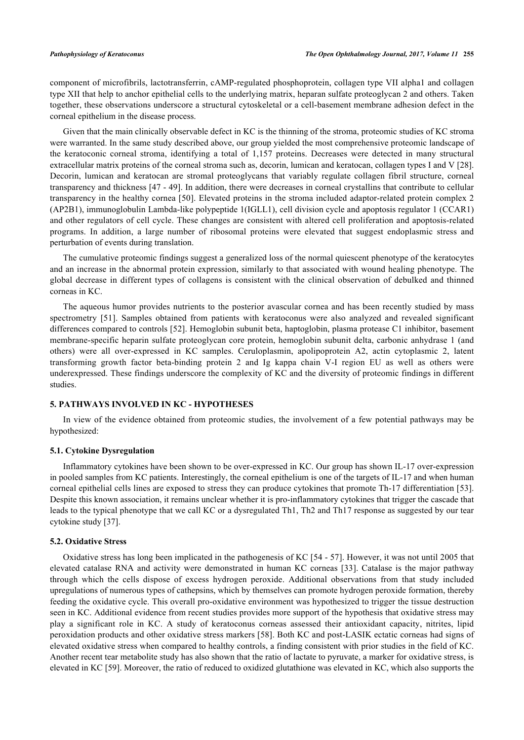component of microfibrils, lactotransferrin, cAMP-regulated phosphoprotein, collagen type VII alpha1 and collagen type XII that help to anchor epithelial cells to the underlying matrix, heparan sulfate proteoglycan 2 and others. Taken together, these observations underscore a structural cytoskeletal or a cell-basement membrane adhesion defect in the corneal epithelium in the disease process.

Given that the main clinically observable defect in KC is the thinning of the stroma, proteomic studies of KC stroma were warranted. In the same study described above, our group yielded the most comprehensive proteomic landscape of the keratoconic corneal stroma, identifying a total of 1,157 proteins. Decreases were detected in many structural extracellular matrix proteins of the corneal stroma such as, decorin, lumican and keratocan, collagen types I and V [[28\]](#page-7-0). Decorin, lumican and keratocan are stromal proteoglycans that variably regulate collagen fibril structure, corneal transparency and thickness [[47](#page-7-17) - [49\]](#page-8-0). In addition, there were decreases in corneal crystallins that contribute to cellular transparency in the healthy cornea [\[50\]](#page-8-1). Elevated proteins in the stroma included adaptor-related protein complex 2 (AP2B1), immunoglobulin Lambda-like polypeptide 1(IGLL1), cell division cycle and apoptosis regulator 1 (CCAR1) and other regulators of cell cycle. These changes are consistent with altered cell proliferation and apoptosis-related programs. In addition, a large number of ribosomal proteins were elevated that suggest endoplasmic stress and perturbation of events during translation.

The cumulative proteomic findings suggest a generalized loss of the normal quiescent phenotype of the keratocytes and an increase in the abnormal protein expression, similarly to that associated with wound healing phenotype. The global decrease in different types of collagens is consistent with the clinical observation of debulked and thinned corneas in KC.

The aqueous humor provides nutrients to the posterior avascular cornea and has been recently studied by mass spectrometry[[51\]](#page-8-2). Samples obtained from patients with keratoconus were also analyzed and revealed significant differences compared to controls [[52\]](#page-8-3). Hemoglobin subunit beta, haptoglobin, plasma protease C1 inhibitor, basement membrane-specific heparin sulfate proteoglycan core protein, hemoglobin subunit delta, carbonic anhydrase 1 (and others) were all over-expressed in KC samples. Ceruloplasmin, apolipoprotein A2, actin cytoplasmic 2, latent transforming growth factor beta-binding protein 2 and Ig kappa chain V-I region EU as well as others were underexpressed. These findings underscore the complexity of KC and the diversity of proteomic findings in different studies.

# **5. PATHWAYS INVOLVED IN KC - HYPOTHESES**

In view of the evidence obtained from proteomic studies, the involvement of a few potential pathways may be hypothesized:

### **5.1. Cytokine Dysregulation**

Inflammatory cytokines have been shown to be over-expressed in KC. Our group has shown IL-17 over-expression in pooled samples from KC patients. Interestingly, the corneal epithelium is one of the targets of IL-17 and when human corneal epithelial cells lines are exposed to stress they can produce cytokines that promote Th-17 differentiation [[53\]](#page-8-4). Despite this known association, it remains unclear whether it is pro-inflammatory cytokines that trigger the cascade that leads to the typical phenotype that we call KC or a dysregulated Th1, Th2 and Th17 response as suggested by our tear cytokine study [\[37](#page-7-7)].

### **5.2. Oxidative Stress**

Oxidative stress has long been implicated in the pathogenesis of KC [\[54](#page-8-5) - [57](#page-8-6)]. However, it was not until 2005 that elevated catalase RNA and activity were demonstrated in human KC corneas [[33](#page-7-3)]. Catalase is the major pathway through which the cells dispose of excess hydrogen peroxide. Additional observations from that study included upregulations of numerous types of cathepsins, which by themselves can promote hydrogen peroxide formation, thereby feeding the oxidative cycle. This overall pro-oxidative environment was hypothesized to trigger the tissue destruction seen in KC. Additional evidence from recent studies provides more support of the hypothesis that oxidative stress may play a significant role in KC. A study of keratoconus corneas assessed their antioxidant capacity, nitrites, lipid peroxidation products and other oxidative stress markers [[58](#page-8-7)]. Both KC and post-LASIK ectatic corneas had signs of elevated oxidative stress when compared to healthy controls, a finding consistent with prior studies in the field of KC. Another recent tear metabolite study has also shown that the ratio of lactate to pyruvate, a marker for oxidative stress, is elevated in KC [[59\]](#page-8-8). Moreover, the ratio of reduced to oxidized glutathione was elevated in KC, which also supports the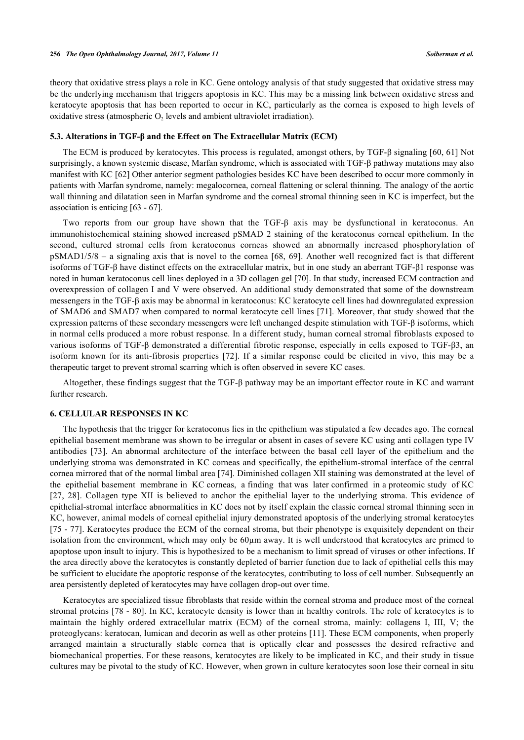theory that oxidative stress plays a role in KC. Gene ontology analysis of that study suggested that oxidative stress may be the underlying mechanism that triggers apoptosis in KC. This may be a missing link between oxidative stress and keratocyte apoptosis that has been reported to occur in KC, particularly as the cornea is exposed to high levels of oxidative stress (atmospheric  $O_2$  levels and ambient ultraviolet irradiation).

#### **5.3. Alterations in TGF-β and the Effect on The Extracellular Matrix (ECM)**

The ECM is produced by keratocytes. This process is regulated, amongst others, by TGF-β signaling [[60,](#page-8-9) [61](#page-8-10)] Not surprisingly, a known systemic disease, Marfan syndrome, which is associated with TGF-β pathway mutations may also manifest with KC [\[62](#page-8-11)] Other anterior segment pathologies besides KC have been described to occur more commonly in patients with Marfan syndrome, namely: megalocornea, corneal flattening or scleral thinning. The analogy of the aortic wall thinning and dilatation seen in Marfan syndrome and the corneal stromal thinning seen in KC is imperfect, but the association is enticing [[63](#page-8-12) - [67](#page-8-13)].

Two reports from our group have shown that the TGF-β axis may be dysfunctional in keratoconus. An immunohistochemical staining showed increased pSMAD 2 staining of the keratoconus corneal epithelium. In the second, cultured stromal cells from keratoconus corneas showed an abnormally increased phosphorylation of pSMAD1/5/8 – a signaling axis that is novel to the cornea [[68,](#page-8-14) [69](#page-8-15)]. Another well recognized fact is that different isoforms of TGF-β have distinct effects on the extracellular matrix, but in one study an aberrant TGF-β1 response was noted in human keratoconus cell lines deployed in a 3D collagen gel [[70\]](#page-9-0). In that study, increased ECM contraction and overexpression of collagen I and V were observed. An additional study demonstrated that some of the downstream messengers in the TGF-β axis may be abnormal in keratoconus: KC keratocyte cell lines had downregulated expression of SMAD6 and SMAD7 when compared to normal keratocyte cell lines [[71\]](#page-9-1). Moreover, that study showed that the expression patterns of these secondary messengers were left unchanged despite stimulation with TGF-β isoforms, which in normal cells produced a more robust response. In a different study, human corneal stromal fibroblasts exposed to various isoforms of TGF-β demonstrated a differential fibrotic response, especially in cells exposed to TGF-β3, an isoform known for its anti-fibrosis properties [\[72](#page-9-2)]. If a similar response could be elicited in vivo, this may be a therapeutic target to prevent stromal scarring which is often observed in severe KC cases.

Altogether, these findings suggest that the TGF-β pathway may be an important effector route in KC and warrant further research.

#### **6. CELLULAR RESPONSES IN KC**

The hypothesis that the trigger for keratoconus lies in the epithelium was stipulated a few decades ago. The corneal epithelial basement membrane was shown to be irregular or absent in cases of severe KC using anti collagen type IV antibodies [\[73](#page-9-3)]. An abnormal architecture of the interface between the basal cell layer of the epithelium and the underlying stroma was demonstrated in KC corneas and specifically, the epithelium-stromal interface of the central cornea mirrored that of the normal limbal area [[74\]](#page-9-4). Diminished collagen XII staining was demonstrated at the level of the epithelial basement membrane in KC corneas, a finding that was later confirmed in a proteomic study of KC [\[27](#page-6-17), [28](#page-7-0)]. Collagen type XII is believed to anchor the epithelial layer to the underlying stroma. This evidence of epithelial-stromal interface abnormalities in KC does not by itself explain the classic corneal stromal thinning seen in KC, however, animal models of corneal epithelial injury demonstrated apoptosis of the underlying stromal keratocytes [\[75](#page-9-5) - [77\]](#page-9-6). Keratocytes produce the ECM of the corneal stroma, but their phenotype is exquisitely dependent on their isolation from the environment, which may only be 60µm away. It is well understood that keratocytes are primed to apoptose upon insult to injury. This is hypothesized to be a mechanism to limit spread of viruses or other infections. If the area directly above the keratocytes is constantly depleted of barrier function due to lack of epithelial cells this may be sufficient to elucidate the apoptotic response of the keratocytes, contributing to loss of cell number. Subsequently an area persistently depleted of keratocytes may have collagen drop-out over time.

Keratocytes are specialized tissue fibroblasts that reside within the corneal stroma and produce most of the corneal stromal proteins [\[78](#page-9-7) - [80\]](#page-9-8). In KC, keratocyte density is lower than in healthy controls. The role of keratocytes is to maintain the highly ordered extracellular matrix (ECM) of the corneal stroma, mainly: collagens I, III, V; the proteoglycans: keratocan, lumican and decorin as well as other proteins [[11](#page-6-4)]. These ECM components, when properly arranged maintain a structurally stable cornea that is optically clear and possesses the desired refractive and biomechanical properties. For these reasons, keratocytes are likely to be implicated in KC, and their study in tissue cultures may be pivotal to the study of KC. However, when grown in culture keratocytes soon lose their corneal in situ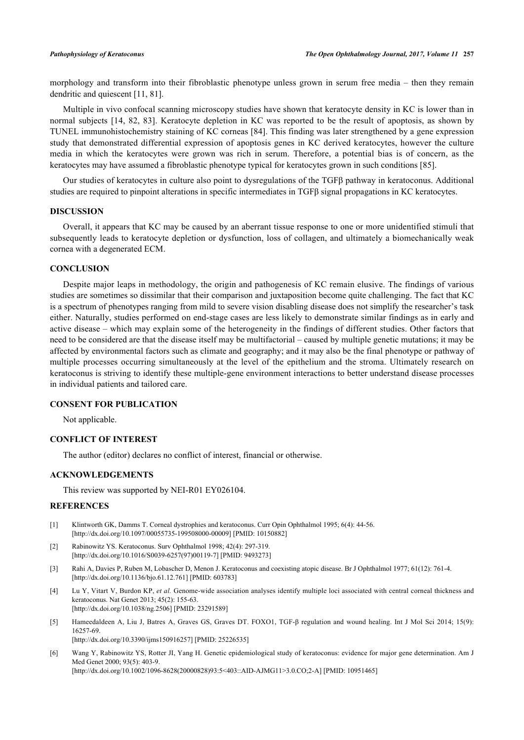morphology and transform into their fibroblastic phenotype unless grown in serum free media – then they remain dendritic and quiescent [\[11](#page-6-4), [81](#page-9-9)].

Multiple in vivo confocal scanning microscopy studies have shown that keratocyte density in KC is lower than in normal subjects [[14,](#page-6-7) [82](#page-9-10), [83\]](#page-9-11). Keratocyte depletion in KC was reported to be the result of apoptosis, as shown by TUNEL immunohistochemistry staining of KC corneas [\[84](#page-9-12)]. This finding was later strengthened by a gene expression study that demonstrated differential expression of apoptosis genes in KC derived keratocytes, however the culture media in which the keratocytes were grown was rich in serum. Therefore, a potential bias is of concern, as the keratocytes may have assumed a fibroblastic phenotype typical for keratocytes grown in such conditions [[85\]](#page-9-13).

Our studies of keratocytes in culture also point to dysregulations of the TGFβ pathway in keratoconus. Additional studies are required to pinpoint alterations in specific intermediates in TGFβ signal propagations in KC keratocytes.

# **DISCUSSION**

Overall, it appears that KC may be caused by an aberrant tissue response to one or more unidentified stimuli that subsequently leads to keratocyte depletion or dysfunction, loss of collagen, and ultimately a biomechanically weak cornea with a degenerated ECM.

# **CONCLUSION**

Despite major leaps in methodology, the origin and pathogenesis of KC remain elusive. The findings of various studies are sometimes so dissimilar that their comparison and juxtaposition become quite challenging. The fact that KC is a spectrum of phenotypes ranging from mild to severe vision disabling disease does not simplify the researcher's task either. Naturally, studies performed on end-stage cases are less likely to demonstrate similar findings as in early and active disease – which may explain some of the heterogeneity in the findings of different studies. Other factors that need to be considered are that the disease itself may be multifactorial – caused by multiple genetic mutations; it may be affected by environmental factors such as climate and geography; and it may also be the final phenotype or pathway of multiple processes occurring simultaneously at the level of the epithelium and the stroma. Ultimately research on keratoconus is striving to identify these multiple-gene environment interactions to better understand disease processes in individual patients and tailored care.

# **CONSENT FOR PUBLICATION**

Not applicable.

# **CONFLICT OF INTEREST**

The author (editor) declares no conflict of interest, financial or otherwise.

# **ACKNOWLEDGEMENTS**

This review was supported by NEI-R01 EY026104.

# **REFERENCES**

- <span id="page-5-0"></span>[1] Klintworth GK, Damms T. Corneal dystrophies and keratoconus. Curr Opin Ophthalmol 1995; 6(4): 44-56. [\[http://dx.doi.org/10.1097/00055735-199508000-00009](http://dx.doi.org/10.1097/00055735-199508000-00009)] [PMID: [10150882\]](http://www.ncbi.nlm.nih.gov/pubmed/10150882)
- <span id="page-5-1"></span>[2] Rabinowitz YS. Keratoconus. Surv Ophthalmol 1998; 42(4): 297-319. [\[http://dx.doi.org/10.1016/S0039-6257\(97\)00119-7\]](http://dx.doi.org/10.1016/S0039-6257(97)00119-7) [PMID: [9493273](http://www.ncbi.nlm.nih.gov/pubmed/9493273)]
- <span id="page-5-2"></span>[3] Rahi A, Davies P, Ruben M, Lobascher D, Menon J. Keratoconus and coexisting atopic disease. Br J Ophthalmol 1977; 61(12): 761-4. [\[http://dx.doi.org/10.1136/bjo.61.12.761](http://dx.doi.org/10.1136/bjo.61.12.761)] [PMID: [603783\]](http://www.ncbi.nlm.nih.gov/pubmed/603783)
- <span id="page-5-3"></span>[4] Lu Y, Vitart V, Burdon KP, *et al.* Genome-wide association analyses identify multiple loci associated with central corneal thickness and keratoconus. Nat Genet 2013; 45(2): 155-63. [\[http://dx.doi.org/10.1038/ng.2506\]](http://dx.doi.org/10.1038/ng.2506) [PMID: [23291589](http://www.ncbi.nlm.nih.gov/pubmed/23291589)]
- <span id="page-5-4"></span>[5] Hameedaldeen A, Liu J, Batres A, Graves GS, Graves DT, FOXO1, TGF-β regulation and wound healing. Int J Mol Sci 2014; 15(9): 16257-69. [\[http://dx.doi.org/10.3390/ijms150916257\]](http://dx.doi.org/10.3390/ijms150916257) [PMID: [25226535](http://www.ncbi.nlm.nih.gov/pubmed/25226535)]
- <span id="page-5-5"></span>[6] Wang Y, Rabinowitz YS, Rotter JI, Yang H. Genetic epidemiological study of keratoconus: evidence for major gene determination. Am J Med Genet 2000; 93(5): 403-9. [http://dx.doi.org/10.1002/1096-8628(20000828)93:5<403::AID-AJMG11>3.0.CO:2-A] [PMID: [10951465](http://www.ncbi.nlm.nih.gov/pubmed/10951465)]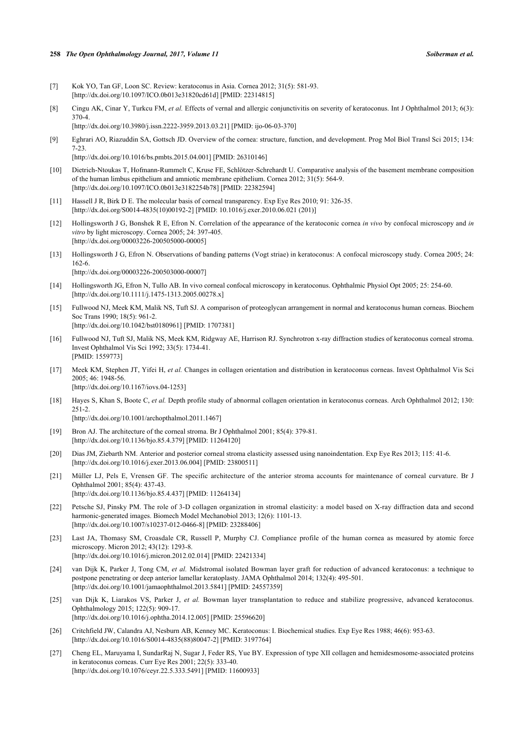#### **258** *The Open Ophthalmology Journal, 2017, Volume 11 Soiberman et al.*

- <span id="page-6-0"></span>[7] Kok YO, Tan GF, Loon SC. Review: keratoconus in Asia. Cornea 2012; 31(5): 581-93. [\[http://dx.doi.org/10.1097/ICO.0b013e31820cd61d\]](http://dx.doi.org/10.1097/ICO.0b013e31820cd61d) [PMID: [22314815](http://www.ncbi.nlm.nih.gov/pubmed/22314815)]
- <span id="page-6-1"></span>[8] Cingu AK, Cinar Y, Turkcu FM, *et al.* Effects of vernal and allergic conjunctivitis on severity of keratoconus. Int J Ophthalmol 2013; 6(3): 370-4.

[\[http://dx.doi.org/10.3980/j.issn.2222-3959.2013.03.21](http://dx.doi.org/10.3980/j.issn.2222-3959.2013.03.21)] [PMID: [ijo-06-03-370](http://www.ncbi.nlm.nih.gov/pubmed/ijo-06-03-370)]

<span id="page-6-2"></span>[9] Eghrari AO, Riazuddin SA, Gottsch JD. Overview of the cornea: structure, function, and development. Prog Mol Biol Transl Sci 2015; 134: 7-23.

[\[http://dx.doi.org/10.1016/bs.pmbts.2015.04.001](http://dx.doi.org/10.1016/bs.pmbts.2015.04.001)] [PMID: [26310146](http://www.ncbi.nlm.nih.gov/pubmed/26310146)]

- <span id="page-6-3"></span>[10] Dietrich-Ntoukas T, Hofmann-Rummelt C, Kruse FE, Schlötzer-Schrehardt U. Comparative analysis of the basement membrane composition of the human limbus epithelium and amniotic membrane epithelium. Cornea 2012; 31(5): 564-9. [\[http://dx.doi.org/10.1097/ICO.0b013e3182254b78](http://dx.doi.org/10.1097/ICO.0b013e3182254b78)] [PMID: [22382594\]](http://www.ncbi.nlm.nih.gov/pubmed/22382594)
- <span id="page-6-4"></span>[11] Hassell J R, Birk D E. The molecular basis of corneal transparency. Exp Eye Res 2010; 91: 326-35. [\[http://dx.doi.org/S0014-4835\(10\)00192-2\]](http://dx.doi.org/S0014-4835(10)00192-2) [PMID: [10.1016/j.exer.2010.06.021 \(201\)\]](http://www.ncbi.nlm.nih.gov/pubmed/10.1016/j.exer.2010.06.021%20(201))
- <span id="page-6-5"></span>[12] Hollingsworth J G, Bonshek R E, Efron N. Correlation of the appearance of the keratoconic cornea *in vivo* by confocal microscopy and *in vitro* by light microscopy. Cornea 2005; 24: 397-405. [\[http://dx.doi.org/00003226-200505000-00005\]](http://dx.doi.org/00003226-200505000-00005)
- <span id="page-6-6"></span>[13] Hollingsworth J G, Efron N. Observations of banding patterns (Vogt striae) in keratoconus: A confocal microscopy study. Cornea 2005; 24: 162-6.

[\[http://dx.doi.org/00003226-200503000-00007\]](http://dx.doi.org/00003226-200503000-00007)

- <span id="page-6-7"></span>[14] Hollingsworth JG, Efron N, Tullo AB. In vivo corneal confocal microscopy in keratoconus. Ophthalmic Physiol Opt 2005; 25: 254-60. [\[http://dx.doi.org/10.1111/j.1475-1313.2005.00278.x\]](http://dx.doi.org/10.1111/j.1475-1313.2005.00278.x)
- <span id="page-6-8"></span>[15] Fullwood NJ, Meek KM, Malik NS, Tuft SJ. A comparison of proteoglycan arrangement in normal and keratoconus human corneas. Biochem Soc Trans 1990; 18(5): 961-2. [\[http://dx.doi.org/10.1042/bst0180961](http://dx.doi.org/10.1042/bst0180961)] [PMID: [1707381\]](http://www.ncbi.nlm.nih.gov/pubmed/1707381)
- <span id="page-6-9"></span>[16] Fullwood NJ, Tuft SJ, Malik NS, Meek KM, Ridgway AE, Harrison RJ. Synchrotron x-ray diffraction studies of keratoconus corneal stroma. Invest Ophthalmol Vis Sci 1992; 33(5): 1734-41. [PMID: [1559773\]](http://www.ncbi.nlm.nih.gov/pubmed/1559773)
- <span id="page-6-10"></span>[17] Meek KM, Stephen JT, Yifei H, *et al.* Changes in collagen orientation and distribution in keratoconus corneas. Invest Ophthalmol Vis Sci 2005; 46: 1948-56. [\[http://dx.doi.org/10.1167/iovs.04-1253\]](http://dx.doi.org/10.1167/iovs.04-1253)
- <span id="page-6-11"></span>[18] Hayes S, Khan S, Boote C, *et al.* Depth profile study of abnormal collagen orientation in keratoconus corneas. Arch Ophthalmol 2012; 130: 251-2. [\[http://dx.doi.org/10.1001/archopthalmol.2011.1467](http://dx.doi.org/10.1001/archopthalmol.2011.1467)]
- <span id="page-6-12"></span>[19] Bron AJ. The architecture of the corneal stroma. Br J Ophthalmol 2001; 85(4): 379-81. [\[http://dx.doi.org/10.1136/bjo.85.4.379](http://dx.doi.org/10.1136/bjo.85.4.379)] [PMID: [11264120\]](http://www.ncbi.nlm.nih.gov/pubmed/11264120)
- [20] Dias JM, Ziebarth NM. Anterior and posterior corneal stroma elasticity assessed using nanoindentation. Exp Eye Res 2013; 115: 41-6. [\[http://dx.doi.org/10.1016/j.exer.2013.06.004\]](http://dx.doi.org/10.1016/j.exer.2013.06.004) [PMID: [23800511](http://www.ncbi.nlm.nih.gov/pubmed/23800511)]
- [21] Müller LJ, Pels E, Vrensen GF. The specific architecture of the anterior stroma accounts for maintenance of corneal curvature. Br J Ophthalmol 2001; 85(4): 437-43. [\[http://dx.doi.org/10.1136/bjo.85.4.437](http://dx.doi.org/10.1136/bjo.85.4.437)] [PMID: [11264134\]](http://www.ncbi.nlm.nih.gov/pubmed/11264134)
- [22] Petsche SJ, Pinsky PM. The role of 3-D collagen organization in stromal elasticity: a model based on X-ray diffraction data and second harmonic-generated images. Biomech Model Mechanobiol 2013; 12(6): 1101-13. [\[http://dx.doi.org/10.1007/s10237-012-0466-8\]](http://dx.doi.org/10.1007/s10237-012-0466-8) [PMID: [23288406](http://www.ncbi.nlm.nih.gov/pubmed/23288406)]
- <span id="page-6-13"></span>[23] Last JA, Thomasy SM, Croasdale CR, Russell P, Murphy CJ. Compliance profile of the human cornea as measured by atomic force microscopy. Micron 2012; 43(12): 1293-8. [\[http://dx.doi.org/10.1016/j.micron.2012.02.014\]](http://dx.doi.org/10.1016/j.micron.2012.02.014) [PMID: [22421334](http://www.ncbi.nlm.nih.gov/pubmed/22421334)]
- <span id="page-6-14"></span>[24] van Dijk K, Parker J, Tong CM, *et al.* Midstromal isolated Bowman layer graft for reduction of advanced keratoconus: a technique to postpone penetrating or deep anterior lamellar keratoplasty. JAMA Ophthalmol 2014; 132(4): 495-501. [\[http://dx.doi.org/10.1001/jamaophthalmol.2013.5841\]](http://dx.doi.org/10.1001/jamaophthalmol.2013.5841) [PMID: [24557359](http://www.ncbi.nlm.nih.gov/pubmed/24557359)]
- <span id="page-6-15"></span>[25] van Dijk K, Liarakos VS, Parker J, *et al.* Bowman layer transplantation to reduce and stabilize progressive, advanced keratoconus. Ophthalmology 2015; 122(5): 909-17. [\[http://dx.doi.org/10.1016/j.ophtha.2014.12.005\]](http://dx.doi.org/10.1016/j.ophtha.2014.12.005) [PMID: [25596620](http://www.ncbi.nlm.nih.gov/pubmed/25596620)]
- <span id="page-6-16"></span>[26] Critchfield JW, Calandra AJ, Nesburn AB, Kenney MC. Keratoconus: I. Biochemical studies. Exp Eye Res 1988; 46(6): 953-63. [\[http://dx.doi.org/10.1016/S0014-4835\(88\)80047-2\]](http://dx.doi.org/10.1016/S0014-4835(88)80047-2) [PMID: [3197764](http://www.ncbi.nlm.nih.gov/pubmed/3197764)]
- <span id="page-6-17"></span>[27] Cheng EL, Maruyama I, SundarRaj N, Sugar J, Feder RS, Yue BY. Expression of type XII collagen and hemidesmosome-associated proteins in keratoconus corneas. Curr Eye Res 2001; 22(5): 333-40. [\[http://dx.doi.org/10.1076/ceyr.22.5.333.5491\]](http://dx.doi.org/10.1076/ceyr.22.5.333.5491) [PMID: [11600933](http://www.ncbi.nlm.nih.gov/pubmed/11600933)]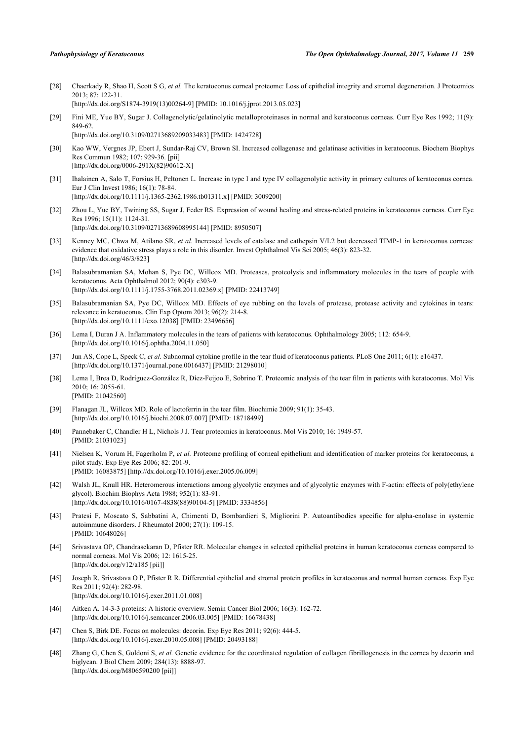- <span id="page-7-0"></span>[28] Chaerkady R, Shao H, Scott S G, *et al.* The keratoconus corneal proteome: Loss of epithelial integrity and stromal degeneration. J Proteomics  $2013 \cdot 87 \cdot 122 - 31$ [\[http://dx.doi.org/S1874-3919\(13\)00264-9\]](http://dx.doi.org/S1874-3919(13)00264-9) [PMID: [10.1016/j.jprot.2013.05.023\]](http://www.ncbi.nlm.nih.gov/pubmed/10.1016/j.jprot.2013.05.023)
- <span id="page-7-1"></span>[29] Fini ME, Yue BY, Sugar J. Collagenolytic/gelatinolytic metalloproteinases in normal and keratoconus corneas. Curr Eye Res 1992; 11(9): 849-62.

[\[http://dx.doi.org/10.3109/02713689209033483\]](http://dx.doi.org/10.3109/02713689209033483) [PMID: [1424728](http://www.ncbi.nlm.nih.gov/pubmed/1424728)]

- [30] Kao WW, Vergnes JP, Ebert J, Sundar-Raj CV, Brown SI. Increased collagenase and gelatinase activities in keratoconus. Biochem Biophys Res Commun 1982; 107: 929-36. [pii] [\[http://dx.doi.org/0006-291X\(82\)90612-X\]](http://dx.doi.org/0006-291X(82)90612-X)
- [31] Ihalainen A, Salo T, Forsius H, Peltonen L. Increase in type I and type IV collagenolytic activity in primary cultures of keratoconus cornea. Eur J Clin Invest 1986; 16(1): 78-84. [\[http://dx.doi.org/10.1111/j.1365-2362.1986.tb01311.x\]](http://dx.doi.org/10.1111/j.1365-2362.1986.tb01311.x) [PMID: [3009200](http://www.ncbi.nlm.nih.gov/pubmed/3009200)]
- <span id="page-7-2"></span>[32] Zhou L, Yue BY, Twining SS, Sugar J, Feder RS. Expression of wound healing and stress-related proteins in keratoconus corneas. Curr Eye Res 1996; 15(11): 1124-31. [\[http://dx.doi.org/10.3109/02713689608995144\]](http://dx.doi.org/10.3109/02713689608995144) [PMID: [8950507](http://www.ncbi.nlm.nih.gov/pubmed/8950507)]
- <span id="page-7-3"></span>[33] Kenney MC, Chwa M, Atilano SR, *et al.* Increased levels of catalase and cathepsin V/L2 but decreased TIMP-1 in keratoconus corneas: evidence that oxidative stress plays a role in this disorder. Invest Ophthalmol Vis Sci 2005; 46(3): 823-32. [\[http://dx.doi.org/46/3/823](http://dx.doi.org/46/3/823)]
- <span id="page-7-4"></span>[34] Balasubramanian SA, Mohan S, Pye DC, Willcox MD. Proteases, proteolysis and inflammatory molecules in the tears of people with keratoconus. Acta Ophthalmol 2012; 90(4): e303-9. [\[http://dx.doi.org/10.1111/j.1755-3768.2011.02369.x\]](http://dx.doi.org/10.1111/j.1755-3768.2011.02369.x) [PMID: [22413749](http://www.ncbi.nlm.nih.gov/pubmed/22413749)]
- <span id="page-7-5"></span>[35] Balasubramanian SA, Pye DC, Willcox MD. Effects of eye rubbing on the levels of protease, protease activity and cytokines in tears: relevance in keratoconus. Clin Exp Optom 2013; 96(2): 214-8. [\[http://dx.doi.org/10.1111/cxo.12038](http://dx.doi.org/10.1111/cxo.12038)] [PMID: [23496656\]](http://www.ncbi.nlm.nih.gov/pubmed/23496656)
- <span id="page-7-6"></span>[36] Lema I, Duran J A. Inflammatory molecules in the tears of patients with keratoconus. Ophthalmology 2005; 112: 654-9. [\[http://dx.doi.org/10.1016/j.ophtha.2004.11.050\]](http://dx.doi.org/10.1016/j.ophtha.2004.11.050)
- <span id="page-7-7"></span>[37] Jun AS, Cope L, Speck C, *et al.* Subnormal cytokine profile in the tear fluid of keratoconus patients. PLoS One 2011; 6(1): e16437. [\[http://dx.doi.org/10.1371/journal.pone.0016437](http://dx.doi.org/10.1371/journal.pone.0016437)] [PMID: [21298010\]](http://www.ncbi.nlm.nih.gov/pubmed/21298010)
- <span id="page-7-8"></span>[38] Lema I, Brea D, Rodríguez-González R, Díez-Feijoo E, Sobrino T. Proteomic analysis of the tear film in patients with keratoconus. Mol Vis 2010; 16: 2055-61. [PMID: [21042560\]](http://www.ncbi.nlm.nih.gov/pubmed/21042560)
- <span id="page-7-9"></span>[39] Flanagan JL, Willcox MD. Role of lactoferrin in the tear film. Biochimie 2009; 91(1): 35-43. [\[http://dx.doi.org/10.1016/j.biochi.2008.07.007](http://dx.doi.org/10.1016/j.biochi.2008.07.007)] [PMID: [18718499\]](http://www.ncbi.nlm.nih.gov/pubmed/18718499)
- <span id="page-7-10"></span>[40] Pannebaker C, Chandler H L, Nichols J J. Tear proteomics in keratoconus. Mol Vis 2010; 16: 1949-57. [PMID: [21031023\]](http://www.ncbi.nlm.nih.gov/pubmed/21031023)
- <span id="page-7-11"></span>[41] Nielsen K, Vorum H, Fagerholm P, *et al.* Proteome profiling of corneal epithelium and identification of marker proteins for keratoconus, a pilot study. Exp Eye Res 2006; 82: 201-9. [PMID: [16083875\]](http://www.ncbi.nlm.nih.gov/pubmed/16083875) [<http://dx.doi.org/10.1016/j.exer.2005.06.009>]
- <span id="page-7-12"></span>[42] Walsh JL, Knull HR. Heteromerous interactions among glycolytic enzymes and of glycolytic enzymes with F-actin: effects of poly(ethylene glycol). Biochim Biophys Acta 1988; 952(1): 83-91. [\[http://dx.doi.org/10.1016/0167-4838\(88\)90104-5](http://dx.doi.org/10.1016/0167-4838(88)90104-5)] [PMID: [3334856](http://www.ncbi.nlm.nih.gov/pubmed/3334856)]
- <span id="page-7-13"></span>[43] Pratesi F, Moscato S, Sabbatini A, Chimenti D, Bombardieri S, Migliorini P. Autoantibodies specific for alpha-enolase in systemic autoimmune disorders. J Rheumatol 2000; 27(1): 109-15. [PMID: [10648026\]](http://www.ncbi.nlm.nih.gov/pubmed/10648026)
- <span id="page-7-14"></span>[44] Srivastava OP, Chandrasekaran D, Pfister RR. Molecular changes in selected epithelial proteins in human keratoconus corneas compared to normal corneas. Mol Vis 2006; 12: 1615-25. [\[http://dx.doi.org/v12/a185 \[pii\]](http://dx.doi.org/v12/a185%20%5Bpii%5D)]
- <span id="page-7-15"></span>[45] Joseph R, Srivastava O P, Pfister R R. Differential epithelial and stromal protein profiles in keratoconus and normal human corneas. Exp Eye Res 2011; 92(4): 282-98. [\[http://dx.doi.org/10.1016/j.exer.2011.01.008\]](http://dx.doi.org/10.1016/j.exer.2011.01.008)
- <span id="page-7-16"></span>[46] Aitken A. 14-3-3 proteins: A historic overview. Semin Cancer Biol 2006; 16(3): 162-72. [\[http://dx.doi.org/10.1016/j.semcancer.2006.03.005\]](http://dx.doi.org/10.1016/j.semcancer.2006.03.005) [PMID: [16678438](http://www.ncbi.nlm.nih.gov/pubmed/16678438)]
- <span id="page-7-17"></span>[47] Chen S, Birk DE. Focus on molecules: decorin. Exp Eye Res 2011; 92(6): 444-5. [\[http://dx.doi.org/10.1016/j.exer.2010.05.008\]](http://dx.doi.org/10.1016/j.exer.2010.05.008) [PMID: [20493188](http://www.ncbi.nlm.nih.gov/pubmed/20493188)]
- [48] Zhang G, Chen S, Goldoni S, et al. Genetic evidence for the coordinated regulation of collagen fibrillogenesis in the cornea by decorin and biglycan. J Biol Chem 2009; 284(13): 8888-97. [\[http://dx.doi.org/M806590200 \[pii\]](http://dx.doi.org/M806590200%20%5Bpii%5D)]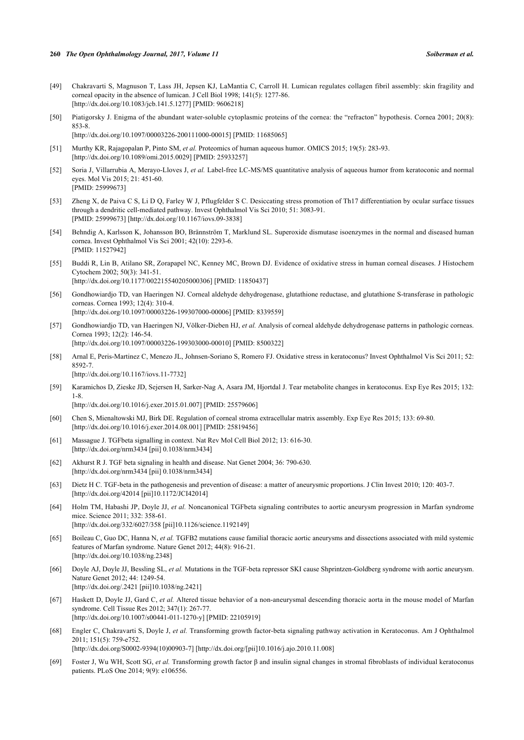- <span id="page-8-0"></span>[49] Chakravarti S, Magnuson T, Lass JH, Jepsen KJ, LaMantia C, Carroll H. Lumican regulates collagen fibril assembly: skin fragility and corneal opacity in the absence of lumican. J Cell Biol 1998; 141(5): 1277-86. [\[http://dx.doi.org/10.1083/jcb.141.5.1277\]](http://dx.doi.org/10.1083/jcb.141.5.1277) [PMID: [9606218](http://www.ncbi.nlm.nih.gov/pubmed/9606218)]
- <span id="page-8-1"></span>[50] Piatigorsky J. Enigma of the abundant water-soluble cytoplasmic proteins of the cornea: the "refracton" hypothesis. Cornea 2001; 20(8): 853-8. [\[http://dx.doi.org/10.1097/00003226-200111000-00015](http://dx.doi.org/10.1097/00003226-200111000-00015)] [PMID: [11685065\]](http://www.ncbi.nlm.nih.gov/pubmed/11685065)

<span id="page-8-2"></span>[51] Murthy KR, Rajagopalan P, Pinto SM, *et al.* Proteomics of human aqueous humor. OMICS 2015; 19(5): 283-93. [\[http://dx.doi.org/10.1089/omi.2015.0029](http://dx.doi.org/10.1089/omi.2015.0029)] [PMID: [25933257\]](http://www.ncbi.nlm.nih.gov/pubmed/25933257)

- <span id="page-8-3"></span>[52] Soria J, Villarrubia A, Merayo-Lloves J, *et al.* Label-free LC-MS/MS quantitative analysis of aqueous humor from keratoconic and normal eyes. Mol Vis 2015; 21: 451-60. [PMID: [25999673\]](http://www.ncbi.nlm.nih.gov/pubmed/25999673)
- <span id="page-8-4"></span>[53] Zheng X, de Paiva C S, Li D Q, Farley W J, Pflugfelder S C. Desiccating stress promotion of Th17 differentiation by ocular surface tissues through a dendritic cell-mediated pathway. Invest Ophthalmol Vis Sci 2010; 51: 3083-91. [PMID: [25999673\]](http://www.ncbi.nlm.nih.gov/pubmed/25999673) [<http://dx.doi.org/10.1167/iovs.09-3838>]
- <span id="page-8-5"></span>[54] Behndig A, Karlsson K, Johansson BO, Brännström T, Marklund SL. Superoxide dismutase isoenzymes in the normal and diseased human cornea. Invest Ophthalmol Vis Sci 2001; 42(10): 2293-6. [PMID: [11527942\]](http://www.ncbi.nlm.nih.gov/pubmed/11527942)
- [55] Buddi R, Lin B, Atilano SR, Zorapapel NC, Kenney MC, Brown DJ. Evidence of oxidative stress in human corneal diseases. J Histochem Cytochem 2002; 50(3): 341-51. [\[http://dx.doi.org/10.1177/002215540205000306\]](http://dx.doi.org/10.1177/002215540205000306) [PMID: [11850437](http://www.ncbi.nlm.nih.gov/pubmed/11850437)]
- [56] Gondhowiardjo TD, van Haeringen NJ. Corneal aldehyde dehydrogenase, glutathione reductase, and glutathione S-transferase in pathologic corneas. Cornea 1993; 12(4): 310-4. [\[http://dx.doi.org/10.1097/00003226-199307000-00006](http://dx.doi.org/10.1097/00003226-199307000-00006)] [PMID: [8339559\]](http://www.ncbi.nlm.nih.gov/pubmed/8339559)
- <span id="page-8-6"></span>[57] Gondhowiardjo TD, van Haeringen NJ, Völker-Dieben HJ, *et al.* Analysis of corneal aldehyde dehydrogenase patterns in pathologic corneas. Cornea 1993; 12(2): 146-54. [\[http://dx.doi.org/10.1097/00003226-199303000-00010](http://dx.doi.org/10.1097/00003226-199303000-00010)] [PMID: [8500322\]](http://www.ncbi.nlm.nih.gov/pubmed/8500322)
- <span id="page-8-7"></span>[58] Arnal E, Peris-Martinez C, Menezo JL, Johnsen-Soriano S, Romero FJ. Oxidative stress in keratoconus? Invest Ophthalmol Vis Sci 2011; 52: 8592-7.

[\[http://dx.doi.org/10.1167/iovs.11-7732\]](http://dx.doi.org/10.1167/iovs.11-7732)

<span id="page-8-8"></span>[59] Karamichos D, Zieske JD, Sejersen H, Sarker-Nag A, Asara JM, Hjortdal J. Tear metabolite changes in keratoconus. Exp Eye Res 2015; 132: 1-8.

[\[http://dx.doi.org/10.1016/j.exer.2015.01.007\]](http://dx.doi.org/10.1016/j.exer.2015.01.007) [PMID: [25579606](http://www.ncbi.nlm.nih.gov/pubmed/25579606)]

- <span id="page-8-9"></span>[60] Chen S, Mienaltowski MJ, Birk DE. Regulation of corneal stroma extracellular matrix assembly. Exp Eye Res 2015; 133: 69-80. [\[http://dx.doi.org/10.1016/j.exer.2014.08.001\]](http://dx.doi.org/10.1016/j.exer.2014.08.001) [PMID: [25819456](http://www.ncbi.nlm.nih.gov/pubmed/25819456)]
- <span id="page-8-10"></span>[61] Massague J. TGFbeta signalling in context. Nat Rev Mol Cell Biol 2012; 13: 616-30. [\[http://dx.doi.org/nrm3434 \[pii\] 0.1038/nrm3434](http://dx.doi.org/nrm3434%20%5Bpii%5D%200.1038/nrm3434)]
- <span id="page-8-11"></span>[62] Akhurst R J. TGF beta signaling in health and disease. Nat Genet 2004; 36: 790-630. [\[http://dx.doi.org/nrm3434 \[pii\] 0.1038/nrm3434](http://dx.doi.org/nrm3434%20%5Bpii%5D%200.1038/nrm3434)]
- <span id="page-8-12"></span>[63] Dietz H C. TGF-beta in the pathogenesis and prevention of disease: a matter of aneurysmic proportions. J Clin Invest 2010; 120: 403-7. [\[http://dx.doi.org/42014 \[pii\]10.1172/JCI42014\]](http://dx.doi.org/42014%20%5Bpii%5D10.1172/JCI42014)
- [64] Holm TM, Habashi JP, Doyle JJ, *et al.* Noncanonical TGFbeta signaling contributes to aortic aneurysm progression in Marfan syndrome mice. Science 2011; 332: 358-61. [\[http://dx.doi.org/332/6027/358 \[pii\]10.1126/science.1192149\]](http://dx.doi.org/332/6027/358%20%5Bpii%5D10.1126/science.1192149)
- [65] Boileau C, Guo DC, Hanna N, *et al.* TGFB2 mutations cause familial thoracic aortic aneurysms and dissections associated with mild systemic features of Marfan syndrome. Nature Genet 2012; 44(8): 916-21. [\[http://dx.doi.org/10.1038/ng.2348\]](http://dx.doi.org/10.1038/ng.2348)
- [66] Doyle AJ, Doyle JJ, Bessling SL, *et al.* Mutations in the TGF-beta repressor SKI cause Shprintzen-Goldberg syndrome with aortic aneurysm. Nature Genet 2012; 44: 1249-54. [\[http://dx.doi.org/.2421 \[pii\]10.1038/ng.2421\]](http://dx.doi.org/.2421%20%5Bpii%5D10.1038/ng.2421)
- <span id="page-8-13"></span>[67] Haskett D, Doyle JJ, Gard C, *et al.* Altered tissue behavior of a non-aneurysmal descending thoracic aorta in the mouse model of Marfan syndrome. Cell Tissue Res 2012; 347(1): 267-77. [\[http://dx.doi.org/10.1007/s00441-011-1270-y\]](http://dx.doi.org/10.1007/s00441-011-1270-y) [PMID: [22105919](http://www.ncbi.nlm.nih.gov/pubmed/22105919)]
- <span id="page-8-14"></span>[68] Engler C, Chakravarti S, Doyle J, *et al.* Transforming growth factor-beta signaling pathway activation in Keratoconus. Am J Ophthalmol 2011; 151(5): 759-e752.

[\[http://dx.doi.org/S0002-9394\(10\)00903-7\]](http://dx.doi.org/S0002-9394(10)00903-7) [\[http://dx.doi.org/\[pii\]10.1016/j.ajo.2010.11.008](http://dx.doi.org/%5Bpii%5D10.1016/j.ajo.2010.11.008)]

<span id="page-8-15"></span>[69] Foster J, Wu WH, Scott SG, *et al.* Transforming growth factor β and insulin signal changes in stromal fibroblasts of individual keratoconus patients. PLoS One 2014; 9(9): e106556.